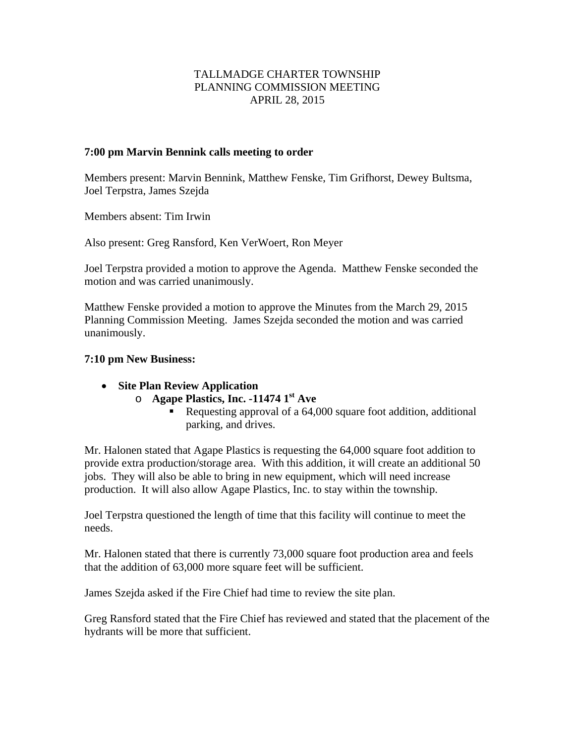# TALLMADGE CHARTER TOWNSHIP PLANNING COMMISSION MEETING APRIL 28, 2015

#### **7:00 pm Marvin Bennink calls meeting to order**

Members present: Marvin Bennink, Matthew Fenske, Tim Grifhorst, Dewey Bultsma, Joel Terpstra, James Szejda

Members absent: Tim Irwin

Also present: Greg Ransford, Ken VerWoert, Ron Meyer

Joel Terpstra provided a motion to approve the Agenda. Matthew Fenske seconded the motion and was carried unanimously.

Matthew Fenske provided a motion to approve the Minutes from the March 29, 2015 Planning Commission Meeting. James Szejda seconded the motion and was carried unanimously.

#### **7:10 pm New Business:**

- **Site Plan Review Application** 
	- o **Agape Plastics, Inc. -11474 1st Ave** 
		- Requesting approval of a 64,000 square foot addition, additional parking, and drives.

Mr. Halonen stated that Agape Plastics is requesting the 64,000 square foot addition to provide extra production/storage area. With this addition, it will create an additional 50 jobs. They will also be able to bring in new equipment, which will need increase production. It will also allow Agape Plastics, Inc. to stay within the township.

Joel Terpstra questioned the length of time that this facility will continue to meet the needs.

Mr. Halonen stated that there is currently 73,000 square foot production area and feels that the addition of 63,000 more square feet will be sufficient.

James Szejda asked if the Fire Chief had time to review the site plan.

Greg Ransford stated that the Fire Chief has reviewed and stated that the placement of the hydrants will be more that sufficient.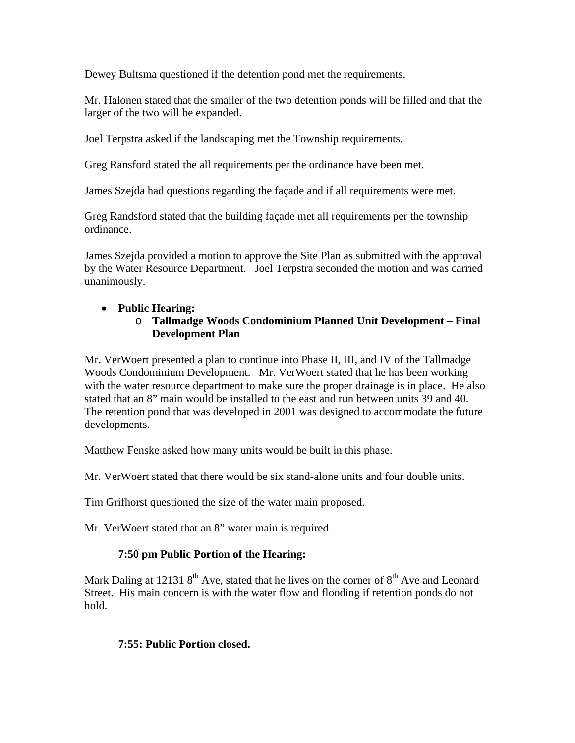Dewey Bultsma questioned if the detention pond met the requirements.

Mr. Halonen stated that the smaller of the two detention ponds will be filled and that the larger of the two will be expanded.

Joel Terpstra asked if the landscaping met the Township requirements.

Greg Ransford stated the all requirements per the ordinance have been met.

James Szejda had questions regarding the façade and if all requirements were met.

Greg Randsford stated that the building façade met all requirements per the township ordinance.

James Szejda provided a motion to approve the Site Plan as submitted with the approval by the Water Resource Department. Joel Terpstra seconded the motion and was carried unanimously.

# **Public Hearing:**

#### o **Tallmadge Woods Condominium Planned Unit Development – Final Development Plan**

Mr. VerWoert presented a plan to continue into Phase II, III, and IV of the Tallmadge Woods Condominium Development. Mr. VerWoert stated that he has been working with the water resource department to make sure the proper drainage is in place. He also stated that an 8" main would be installed to the east and run between units 39 and 40. The retention pond that was developed in 2001 was designed to accommodate the future developments.

Matthew Fenske asked how many units would be built in this phase.

Mr. VerWoert stated that there would be six stand-alone units and four double units.

Tim Grifhorst questioned the size of the water main proposed.

Mr. VerWoert stated that an 8" water main is required.

# **7:50 pm Public Portion of the Hearing:**

Mark Daling at 12131  $8<sup>th</sup>$  Ave, stated that he lives on the corner of  $8<sup>th</sup>$  Ave and Leonard Street. His main concern is with the water flow and flooding if retention ponds do not hold.

# **7:55: Public Portion closed.**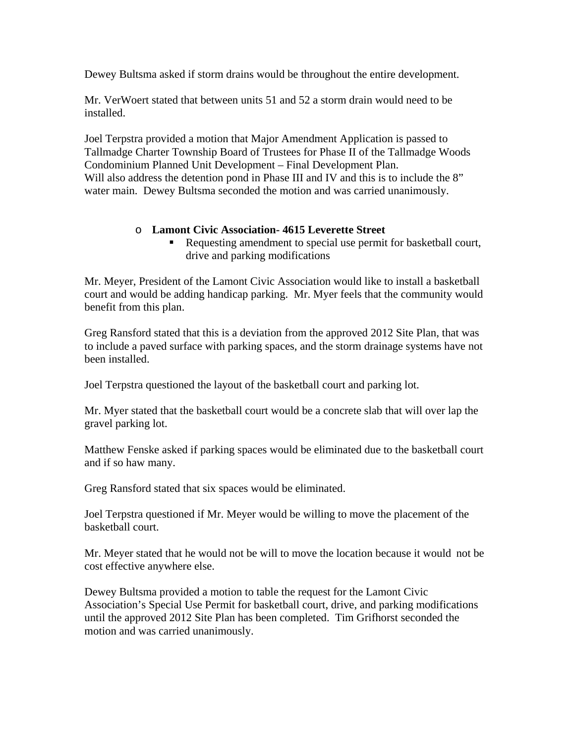Dewey Bultsma asked if storm drains would be throughout the entire development.

Mr. VerWoert stated that between units 51 and 52 a storm drain would need to be installed.

Joel Terpstra provided a motion that Major Amendment Application is passed to Tallmadge Charter Township Board of Trustees for Phase II of the Tallmadge Woods Condominium Planned Unit Development – Final Development Plan. Will also address the detention pond in Phase III and IV and this is to include the 8" water main. Dewey Bultsma seconded the motion and was carried unanimously.

# o **Lamont Civic Association- 4615 Leverette Street**

Requesting amendment to special use permit for basketball court, drive and parking modifications

Mr. Meyer, President of the Lamont Civic Association would like to install a basketball court and would be adding handicap parking. Mr. Myer feels that the community would benefit from this plan.

Greg Ransford stated that this is a deviation from the approved 2012 Site Plan, that was to include a paved surface with parking spaces, and the storm drainage systems have not been installed.

Joel Terpstra questioned the layout of the basketball court and parking lot.

Mr. Myer stated that the basketball court would be a concrete slab that will over lap the gravel parking lot.

Matthew Fenske asked if parking spaces would be eliminated due to the basketball court and if so haw many.

Greg Ransford stated that six spaces would be eliminated.

Joel Terpstra questioned if Mr. Meyer would be willing to move the placement of the basketball court.

Mr. Meyer stated that he would not be will to move the location because it would not be cost effective anywhere else.

Dewey Bultsma provided a motion to table the request for the Lamont Civic Association's Special Use Permit for basketball court, drive, and parking modifications until the approved 2012 Site Plan has been completed. Tim Grifhorst seconded the motion and was carried unanimously.